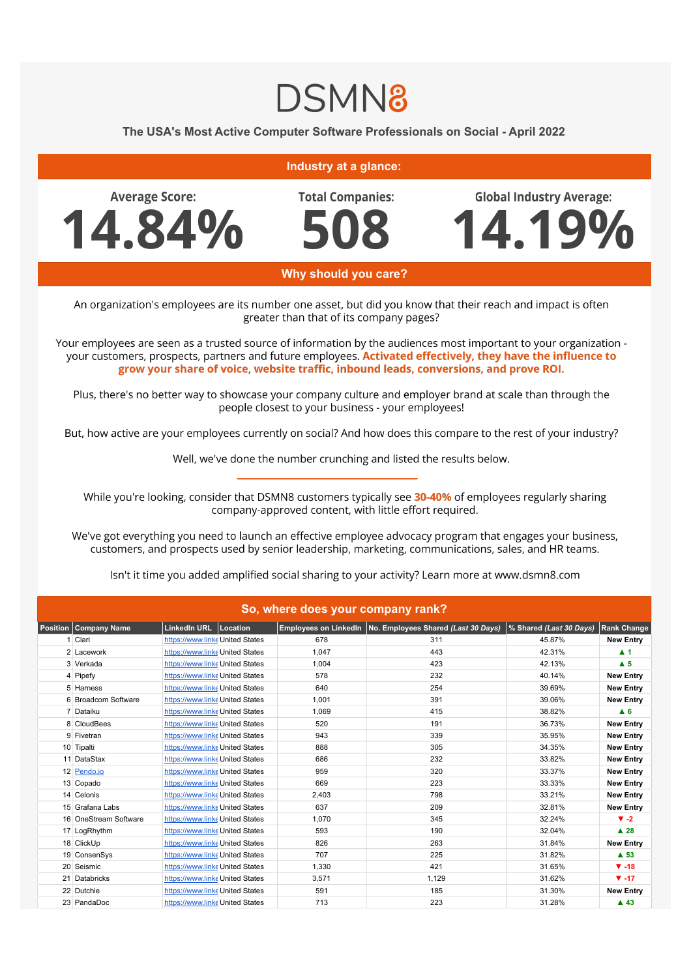## **DSMN8**

## The USA's Most Active Computer Software Professionals on Social - April 2022

## **Industry at a glance:**

**Average Score:** 4.84% **Total Companies:** 

**Global Industry Average:** 

4.19%

Why should you care?

An organization's employees are its number one asset, but did you know that their reach and impact is often greater than that of its company pages?

Your employees are seen as a trusted source of information by the audiences most important to your organization your customers, prospects, partners and future employees. Activated effectively, they have the influence to grow your share of voice, website traffic, inbound leads, conversions, and prove ROI.

Plus, there's no better way to showcase your company culture and employer brand at scale than through the people closest to your business - your employees!

But, how active are your employees currently on social? And how does this compare to the rest of your industry?

Well, we've done the number crunching and listed the results below.

While you're looking, consider that DSMN8 customers typically see 30-40% of employees regularly sharing company-approved content, with little effort required.

We've got everything you need to launch an effective employee advocacy program that engages your business, customers, and prospects used by senior leadership, marketing, communications, sales, and HR teams.

Isn't it time you added amplified social sharing to your activity? Learn more at www.dsmn8.com

| So, where does your company rank? |                                 |  |       |                                                             |                         |                         |  |  |  |
|-----------------------------------|---------------------------------|--|-------|-------------------------------------------------------------|-------------------------|-------------------------|--|--|--|
| Position Company Name             | LinkedIn URL   Location         |  |       | Employees on LinkedIn   No. Employees Shared (Last 30 Days) | % Shared (Last 30 Days) | <b>Rank Change</b>      |  |  |  |
| 1 Clari                           | https://www.linke United States |  | 678   | 311                                                         | 45.87%                  | <b>New Entry</b>        |  |  |  |
| 2 Lacework                        | https://www.linke United States |  | 1,047 | 443                                                         | 42.31%                  | $\blacktriangle$ 1      |  |  |  |
| 3 Verkada                         | https://www.linke United States |  | 1,004 | 423                                                         | 42.13%                  | $\blacktriangle$ 5      |  |  |  |
| 4 Pipefy                          | https://www.linke United States |  | 578   | 232                                                         | 40.14%                  | <b>New Entry</b>        |  |  |  |
| 5 Harness                         | https://www.linke United States |  | 640   | 254                                                         | 39.69%                  | <b>New Entry</b>        |  |  |  |
| 6 Broadcom Software               | https://www.linke United States |  | 1,001 | 391                                                         | 39.06%                  | <b>New Entry</b>        |  |  |  |
| 7 Dataiku                         | https://www.linke United States |  | 1,069 | 415                                                         | 38.82%                  | A <sub>6</sub>          |  |  |  |
| 8 CloudBees                       | https://www.linke United States |  | 520   | 191                                                         | 36.73%                  | <b>New Entry</b>        |  |  |  |
| 9 Fivetran                        | https://www.linke United States |  | 943   | 339                                                         | 35.95%                  | <b>New Entry</b>        |  |  |  |
| 10 Tipalti                        | https://www.linke United States |  | 888   | 305                                                         | 34.35%                  | <b>New Entry</b>        |  |  |  |
| 11 DataStax                       | https://www.linke United States |  | 686   | 232                                                         | 33.82%                  | <b>New Entry</b>        |  |  |  |
| 12 Pendo.io                       | https://www.linke United States |  | 959   | 320                                                         | 33.37%                  | <b>New Entry</b>        |  |  |  |
| 13 Copado                         | https://www.linke United States |  | 669   | 223                                                         | 33.33%                  | <b>New Entry</b>        |  |  |  |
| 14 Celonis                        | https://www.linke United States |  | 2,403 | 798                                                         | 33.21%                  | <b>New Entry</b>        |  |  |  |
| 15 Grafana Labs                   | https://www.linke United States |  | 637   | 209                                                         | 32.81%                  | <b>New Entry</b>        |  |  |  |
| 16 OneStream Software             | https://www.linke United States |  | 1,070 | 345                                                         | 32.24%                  | $\blacktriangledown -2$ |  |  |  |
| 17 LogRhythm                      | https://www.linke United States |  | 593   | 190                                                         | 32.04%                  | $\blacktriangle$ 28     |  |  |  |
| 18 ClickUp                        | https://www.linke United States |  | 826   | 263                                                         | 31.84%                  | <b>New Entry</b>        |  |  |  |
| 19 ConsenSys                      | https://www.linke United States |  | 707   | 225                                                         | 31.82%                  | $\triangle$ 53          |  |  |  |
| 20 Seismic                        | https://www.linke United States |  | 1,330 | 421                                                         | 31.65%                  | $\Psi - 18$             |  |  |  |
| 21 Databricks                     | https://www.linke United States |  | 3,571 | 1,129                                                       | 31.62%                  | $\Psi - 17$             |  |  |  |
| 22 Dutchie                        | https://www.linke United States |  | 591   | 185                                                         | 31.30%                  | <b>New Entry</b>        |  |  |  |
| 23 PandaDoc                       | https://www.linke United States |  | 713   | 223                                                         | 31.28%                  | $\blacktriangle$ 43     |  |  |  |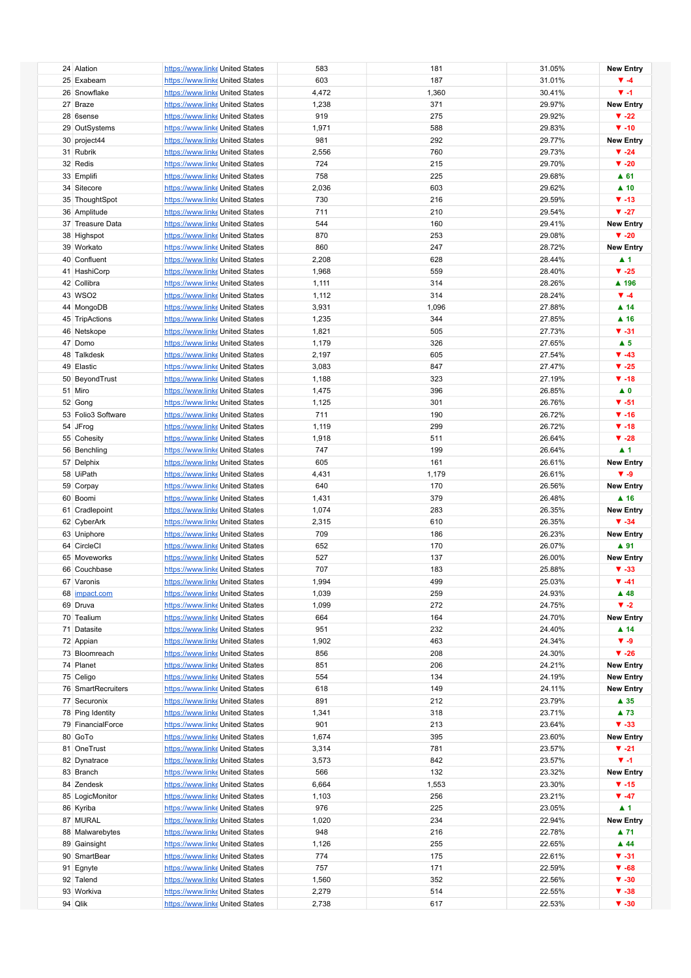| 24 Alation         | https://www.linke United States | 583   | 181   | 31.05% | <b>New Entry</b>         |
|--------------------|---------------------------------|-------|-------|--------|--------------------------|
| 25 Exabeam         | https://www.linke United States | 603   | 187   | 31.01% | $\Psi - 4$               |
| 26 Snowflake       | https://www.linke United States |       |       | 30.41% | $\Psi - 1$               |
|                    |                                 | 4,472 | 1,360 |        |                          |
| 27 Braze           | https://www.linke United States | 1,238 | 371   | 29.97% | <b>New Entry</b>         |
| 28 6sense          | https://www.linke United States | 919   | 275   | 29.92% | $\Psi -22$               |
|                    |                                 |       |       |        |                          |
| 29 OutSystems      | https://www.linke United States | 1,971 | 588   | 29.83% | $\Psi - 10$              |
| 30 project44       | https://www.linke United States | 981   | 292   | 29.77% | <b>New Entry</b>         |
| 31 Rubrik          | https://www.linke United States | 2,556 | 760   | 29.73% | $\Psi - 24$              |
|                    |                                 |       |       |        |                          |
| 32 Redis           | https://www.linke United States | 724   | 215   | 29.70% | $\blacktriangledown$ -20 |
| 33 Emplifi         | https://www.linke United States | 758   | 225   | 29.68% | $A$ 61                   |
|                    | https://www.linke United States |       |       |        | $\blacktriangle$ 10      |
| 34 Sitecore        |                                 | 2,036 | 603   | 29.62% |                          |
| 35 ThoughtSpot     | https://www.linke United States | 730   | 216   | 29.59% | $\Psi - 13$              |
| 36 Amplitude       | https://www.linke United States | 711   | 210   | 29.54% | $\Psi -27$               |
|                    |                                 |       |       |        |                          |
| 37 Treasure Data   | https://www.linke United States | 544   | 160   | 29.41% | <b>New Entry</b>         |
| 38 Highspot        | https://www.linke United States | 870   | 253   | 29.08% | $\Psi - 20$              |
| 39 Workato         | https://www.linke United States | 860   | 247   | 28.72% | <b>New Entry</b>         |
|                    |                                 |       |       |        |                          |
| 40 Confluent       | https://www.linke United States | 2,208 | 628   | 28.44% | $\blacktriangle$ 1       |
| 41 HashiCorp       | https://www.linke United States | 1,968 | 559   | 28.40% | $V - 25$                 |
| 42 Collibra        | https://www.linke United States | 1,111 | 314   | 28.26% | ▲ 196                    |
|                    |                                 |       |       |        |                          |
| 43 WSO2            | https://www.linke United States | 1,112 | 314   | 28.24% | $\Psi - 4$               |
| 44 MongoDB         | https://www.linke United States | 3,931 | 1,096 | 27.88% | $\blacktriangle$ 14      |
|                    |                                 |       | 344   | 27.85% | $\blacktriangle$ 16      |
| 45 TripActions     | https://www.linke United States | 1,235 |       |        |                          |
| 46 Netskope        | https://www.linke United States | 1,821 | 505   | 27.73% | $\Psi - 31$              |
| 47 Domo            | https://www.linke United States | 1,179 | 326   | 27.65% | $\blacktriangle$ 5       |
|                    |                                 |       |       |        |                          |
| 48 Talkdesk        | https://www.linke United States | 2,197 | 605   | 27.54% | $\Psi - 43$              |
| 49 Elastic         | https://www.linke United States | 3,083 | 847   | 27.47% | $\Psi -25$               |
| 50 BeyondTrust     | https://www.linke United States | 1,188 | 323   | 27.19% | $\Psi - 18$              |
|                    |                                 |       |       |        |                          |
| 51 Miro            | https://www.linke United States | 1,475 | 396   | 26.85% | $\blacktriangle$ 0       |
| 52 Gong            | https://www.linke United States | 1,125 | 301   | 26.76% | $\Psi - 51$              |
| 53 Folio3 Software | https://www.linke United States | 711   | 190   | 26.72% | $\Psi - 16$              |
|                    |                                 |       |       |        |                          |
| 54 JFrog           | https://www.linke United States | 1,119 | 299   | 26.72% | $\Psi - 18$              |
| 55 Cohesity        | https://www.linke United States | 1,918 | 511   | 26.64% | $\Psi - 28$              |
|                    |                                 |       |       |        |                          |
| 56 Benchling       | https://www.linke United States | 747   | 199   | 26.64% | $\blacktriangle$ 1       |
| 57 Delphix         | https://www.linke United States | 605   | 161   | 26.61% | <b>New Entry</b>         |
| 58 UiPath          | https://www.linke United States | 4,431 | 1,179 | 26.61% | $V - 9$                  |
|                    |                                 |       |       |        |                          |
| 59 Corpay          | https://www.linke United States | 640   | 170   | 26.56% | <b>New Entry</b>         |
| 60 Boomi           | https://www.linke United States | 1,431 | 379   | 26.48% | $\blacktriangle$ 16      |
| 61 Cradlepoint     | https://www.linke United States | 1,074 | 283   | 26.35% | <b>New Entry</b>         |
|                    |                                 |       |       |        |                          |
| 62 CyberArk        | https://www.linke United States | 2,315 | 610   | 26.35% | $\Psi - 34$              |
| 63 Uniphore        | https://www.linke United States | 709   | 186   | 26.23% | <b>New Entry</b>         |
| 64 CircleCl        | https://www.linke United States | 652   | 170   | 26.07% | ▲ 91                     |
|                    |                                 |       |       |        |                          |
| 65 Moveworks       | https://www.linke United States | 527   | 137   | 26.00% | <b>New Entry</b>         |
| 66 Couchbase       | https://www.linke United States | 707   | 183   | 25.88% | $\Psi - 33$              |
| 67 Varonis         | https://www.linke United States |       | 499   | 25.03% | $\Psi - 41$              |
|                    |                                 | 1,994 |       |        |                          |
| 68 impact.com      | https://www.linke United States | 1,039 | 259   | 24.93% | $\blacktriangle$ 48      |
| 69 Druva           | https://www.linke United States | 1,099 | 272   | 24.75% | $\blacktriangledown -2$  |
| 70 Tealium         |                                 |       |       | 24.70% | <b>New Entry</b>         |
|                    | https://www.linke United States | 664   | 164   |        |                          |
| 71 Datasite        | https://www.linke United States | 951   | 232   | 24.40% | $\blacktriangle$ 14      |
| 72 Appian          | https://www.linke United States | 1,902 | 463   | 24.34% | $V - 9$                  |
|                    |                                 |       |       | 24.30% | $\Psi - 26$              |
| 73 Bloomreach      | https://www.linke United States | 856   | 208   |        |                          |
| 74 Planet          | https://www.linke United States | 851   | 206   | 24.21% | <b>New Entry</b>         |
| 75 Celigo          | https://www.linke United States | 554   | 134   | 24.19% | <b>New Entry</b>         |
|                    |                                 |       |       |        |                          |
| 76 SmartRecruiters | https://www.linke United States | 618   | 149   | 24.11% | <b>New Entry</b>         |
| 77 Securonix       | https://www.linke United States | 891   | 212   | 23.79% | $\blacktriangle$ 35      |
| 78 Ping Identity   | https://www.linke United States | 1,341 | 318   | 23.71% | ▲ 73                     |
|                    |                                 |       |       |        |                          |
| 79 FinancialForce  | https://www.linke United States | 901   | 213   | 23.64% | $\Psi - 33$              |
| 80 GoTo            | https://www.linke United States | 1,674 | 395   | 23.60% | <b>New Entry</b>         |
| 81 OneTrust        | https://www.linke United States | 3,314 | 781   | 23.57% | $\Psi -21$               |
|                    |                                 |       |       |        |                          |
| 82 Dynatrace       | https://www.linke United States | 3,573 | 842   | 23.57% | $\Psi - 1$               |
| 83 Branch          | https://www.linke United States | 566   | 132   | 23.32% | <b>New Entry</b>         |
| 84 Zendesk         | https://www.linke United States | 6,664 | 1,553 | 23.30% | $\Psi - 15$              |
|                    |                                 |       |       |        |                          |
| 85 LogicMonitor    | https://www.linke United States | 1,103 | 256   | 23.21% | $\Psi - 47$              |
| 86 Kyriba          | https://www.linke United States | 976   | 225   | 23.05% | $\blacktriangle$ 1       |
| 87 MURAL           | https://www.linke United States | 1,020 | 234   | 22.94% | <b>New Entry</b>         |
|                    |                                 |       |       |        |                          |
| 88 Malwarebytes    | https://www.linke United States | 948   | 216   | 22.78% | ▲ 71                     |
| 89 Gainsight       | https://www.linke United States | 1,126 | 255   | 22.65% | $\blacktriangle$ 44      |
| 90 SmartBear       | https://www.linke United States | 774   | 175   | 22.61% | $V - 31$                 |
|                    |                                 |       |       |        |                          |
| 91 Egnyte          | https://www.linke United States | 757   | 171   | 22.59% | $\Psi - 68$              |
| 92 Talend          | https://www.linke United States | 1,560 | 352   | 22.56% | $\Psi - 30$              |
| 93 Workiva         | https://www.linke United States | 2,279 | 514   | 22.55% | $\Psi - 38$              |
|                    |                                 |       |       |        |                          |
| 94 Qlik            | https://www.linke United States | 2,738 | 617   | 22.53% | $\Psi - 30$              |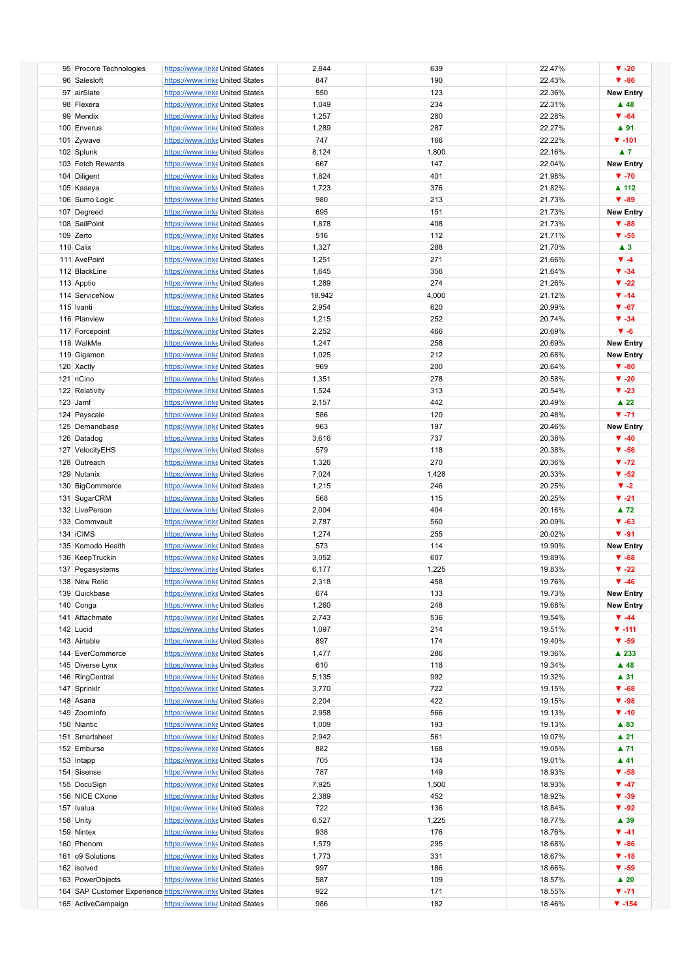| 95 Procore Technologies                                     | https://www.linke United States |  | 2,844  | 639   | 22.47% | $\Psi - 20$              |
|-------------------------------------------------------------|---------------------------------|--|--------|-------|--------|--------------------------|
| 96 Salesloft                                                | https://www.linke United States |  | 847    | 190   | 22.43% | $\Psi - 86$              |
|                                                             |                                 |  |        |       |        |                          |
| 97 airSlate                                                 | https://www.linke United States |  | 550    | 123   | 22.36% | <b>New Entry</b>         |
| 98 Flexera                                                  | https://www.linke United States |  | 1,049  | 234   | 22.31% | $\blacktriangle$ 48      |
|                                                             |                                 |  |        |       |        |                          |
| 99 Mendix                                                   | https://www.linke United States |  | 1,257  | 280   | 22.28% | $\Psi - 64$              |
| 100 Enverus                                                 | https://www.linke United States |  | 1,289  | 287   | 22.27% | ▲ 91                     |
|                                                             |                                 |  |        |       |        |                          |
| 101 Zywave                                                  | https://www.linke United States |  | 747    | 166   | 22.22% | $\P$ -101                |
| 102 Splunk                                                  | https://www.linke United States |  | 8,124  | 1,800 | 22.16% | $\blacktriangle$ 7       |
|                                                             |                                 |  |        |       |        |                          |
| 103 Fetch Rewards                                           | https://www.linke United States |  | 667    | 147   | 22.04% | <b>New Entry</b>         |
| 104 Diligent                                                | https://www.linke United States |  | 1,824  | 401   | 21.98% | $\Psi - 70$              |
|                                                             |                                 |  |        |       |        |                          |
| 105 Kaseya                                                  | https://www.linke United States |  | 1,723  | 376   | 21.82% | ▲ 112                    |
| 106 Sumo Logic                                              | https://www.linke United States |  | 980    | 213   | 21.73% | $\Psi - 89$              |
|                                                             |                                 |  |        |       |        |                          |
| 107 Degreed                                                 | https://www.linke United States |  | 695    | 151   | 21.73% | <b>New Entry</b>         |
| 108 SailPoint                                               | https://www.linke United States |  | 1,878  | 408   | 21.73% | $\Psi - 88$              |
|                                                             |                                 |  |        |       |        |                          |
| 109 Zerto                                                   | https://www.linke United States |  | 516    | 112   | 21.71% | $\Psi - 55$              |
| 110 Calix                                                   | https://www.linke United States |  | 1,327  | 288   | 21.70% | $\blacktriangle$ 3       |
|                                                             |                                 |  |        |       |        |                          |
| 111 AvePoint                                                | https://www.linke United States |  | 1,251  | 271   | 21.66% | $\Psi - 4$               |
| 112 BlackLine                                               | https://www.linke United States |  | 1,645  | 356   | 21.64% | $\Psi - 34$              |
|                                                             |                                 |  |        |       |        |                          |
| 113 Apptio                                                  | https://www.linke United States |  | 1,289  | 274   | 21.26% | $\blacktriangledown$ -22 |
| 114 ServiceNow                                              | https://www.linke United States |  | 18,942 | 4,000 | 21.12% | $\Psi - 14$              |
|                                                             |                                 |  |        |       |        |                          |
| 115 Ivanti                                                  | https://www.linke United States |  | 2,954  | 620   | 20.99% | $\Psi - 67$              |
| 116 Planview                                                | https://www.linke United States |  | 1,215  | 252   | 20.74% | $\Psi - 34$              |
|                                                             |                                 |  |        |       |        |                          |
| 117 Forcepoint                                              | https://www.linke United States |  | 2,252  | 466   | 20.69% | $V - 6$                  |
| 118 WalkMe                                                  | https://www.linke United States |  | 1,247  | 258   | 20.69% | <b>New Entry</b>         |
|                                                             |                                 |  |        |       |        |                          |
| 119 Gigamon                                                 | https://www.linke United States |  | 1,025  | 212   | 20.68% | <b>New Entry</b>         |
|                                                             |                                 |  | 969    |       |        | $\Psi - 80$              |
| 120 Xactly                                                  | https://www.linke United States |  |        | 200   | 20.64% |                          |
| 121 nCino                                                   | https://www.linke United States |  | 1,351  | 278   | 20.58% | $\blacktriangledown$ -20 |
|                                                             |                                 |  |        |       |        | $\Psi - 23$              |
| 122 Relativity                                              | https://www.linke United States |  | 1,524  | 313   | 20.54% |                          |
| 123 Jamf                                                    | https://www.linke United States |  | 2,157  | 442   | 20.49% | $\blacktriangle$ 22      |
| 124 Payscale                                                | https://www.linke United States |  | 586    | 120   | 20.48% | $V - 71$                 |
|                                                             |                                 |  |        |       |        |                          |
| 125 Demandbase                                              | https://www.linke United States |  | 963    | 197   | 20.46% | <b>New Entry</b>         |
| 126 Datadog                                                 | https://www.linke United States |  | 3,616  | 737   | 20.38% | $\Psi - 40$              |
|                                                             |                                 |  |        |       |        |                          |
| 127 VelocityEHS                                             | https://www.linke United States |  | 579    | 118   | 20.38% | $\Psi - 56$              |
|                                                             |                                 |  |        | 270   |        | $\Psi - 72$              |
| 128 Outreach                                                | https://www.linke United States |  | 1,326  |       | 20.36% |                          |
| 129 Nutanix                                                 | https://www.linke United States |  | 7,024  | 1,428 | 20.33% | $\blacktriangledown$ -52 |
|                                                             |                                 |  |        |       |        | $V - 2$                  |
| 130 BigCommerce                                             | https://www.linke United States |  | 1,215  | 246   | 20.25% |                          |
| 131 SugarCRM                                                | https://www.linke United States |  | 568    | 115   | 20.25% | $V - 21$                 |
|                                                             |                                 |  |        |       |        |                          |
| 132 LivePerson                                              | https://www.linke United States |  | 2,004  | 404   | 20.16% | $\blacktriangle$ 72      |
| 133 Commvault                                               | https://www.linke United States |  | 2,787  | 560   | 20.09% | $\Psi - 63$              |
|                                                             |                                 |  |        |       |        |                          |
| 134 iCIMS                                                   | https://www.linke United States |  | 1,274  | 255   | 20.02% | $\Psi - 91$              |
| 135 Komodo Health                                           | https://www.linke United States |  | 573    | 114   | 19.90% | <b>New Entry</b>         |
|                                                             | https://www.linke United States |  |        | 607   |        |                          |
| 136 KeepTruckin                                             |                                 |  | 3,052  |       | 19.89% | $\Psi - 68$              |
| 137 Pegasystems                                             | https://www.linke United States |  | 6,177  | 1,225 | 19.83% | $\blacktriangledown$ -22 |
|                                                             |                                 |  |        |       | 19.76% | $\Psi - 46$              |
| 138 New Relic                                               | https://www.linke United States |  | 2,318  | 458   |        |                          |
| 139 Quickbase                                               | https://www.linke United States |  | 674    | 133   | 19.73% | <b>New Entry</b>         |
|                                                             |                                 |  |        |       |        |                          |
| 140 Conga                                                   | https://www.linke United States |  | 1,260  | 248   | 19.68% | <b>New Entry</b>         |
| 141 Attachmate                                              | https://www.linke United States |  | 2,743  | 536   | 19.54% | $\P$ -44                 |
|                                                             | https://www.linke United States |  |        |       | 19.51% |                          |
| 142 Lucid                                                   |                                 |  | 1,097  | 214   |        | $V - 111$                |
| 143 Airtable                                                | https://www.linke United States |  | 897    | 174   | 19.40% | $\Psi - 59$              |
| 144 EverCommerce                                            | https://www.linke United States |  | 1,477  | 286   | 19.36% | ▲ 233                    |
|                                                             |                                 |  |        |       |        |                          |
| 145 Diverse Lynx                                            | https://www.linke United States |  | 610    | 118   | 19.34% | $\blacktriangle$ 48      |
| 146 RingCentral                                             | https://www.linke United States |  | 5,135  | 992   | 19.32% | $\blacktriangle$ 31      |
|                                                             |                                 |  |        |       |        |                          |
| 147 Sprinklr                                                | https://www.linke United States |  | 3,770  | 722   | 19.15% | $\Psi - 68$              |
| 148 Asana                                                   | https://www.linke United States |  | 2,204  | 422   | 19.15% | $\Psi - 98$              |
|                                                             |                                 |  |        |       |        |                          |
| 149 ZoomInfo                                                | https://www.linke United States |  | 2,958  | 566   | 19.13% | $\Psi - 10$              |
| 150 Niantic                                                 | https://www.linke United States |  | 1,009  | 193   | 19.13% | ▲ 83                     |
|                                                             |                                 |  |        |       |        |                          |
| 151 Smartsheet                                              | https://www.linke United States |  | 2,942  | 561   | 19.07% | $\blacktriangle$ 21      |
| 152 Emburse                                                 | https://www.linke United States |  | 882    | 168   | 19.05% | ▲ 71                     |
|                                                             |                                 |  |        |       |        |                          |
| 153 Intapp                                                  | https://www.linke United States |  | 705    | 134   | 19.01% | $\blacktriangle$ 41      |
| 154 Sisense                                                 | https://www.linke United States |  | 787    | 149   | 18.93% | $\Psi - 58$              |
|                                                             |                                 |  |        |       |        |                          |
| 155 DocuSign                                                | https://www.linke United States |  | 7,925  | 1,500 | 18.93% | $\P$ -47                 |
| 156 NICE CXone                                              | https://www.linke United States |  | 2,389  | 452   | 18.92% | $\Psi - 39$              |
|                                                             |                                 |  |        |       |        |                          |
| 157 Ivalua                                                  | https://www.linke United States |  | 722    | 136   | 18.84% | $\Psi - 92$              |
| 158 Unity                                                   | https://www.linke United States |  | 6,527  | 1,225 | 18.77% | ▲ 39                     |
|                                                             |                                 |  |        |       |        |                          |
| 159 Nintex                                                  | https://www.linke United States |  | 938    | 176   | 18.76% | $\Psi - 41$              |
| 160 Phenom                                                  | https://www.linke United States |  | 1,579  | 295   | 18.68% | $\Psi - 86$              |
|                                                             |                                 |  |        |       |        |                          |
| 161 o9 Solutions                                            | https://www.linke United States |  | 1,773  | 331   | 18.67% | $\P$ -18                 |
| 162 isolved                                                 | https://www.linke United States |  | 997    | 186   | 18.66% | $\Psi - 59$              |
|                                                             |                                 |  |        |       |        |                          |
| 163 PowerObjects                                            | https://www.linke United States |  | 587    | 109   | 18.57% | $\blacktriangle$ 20      |
| 164 SAP Customer Experience https://www.linke United States |                                 |  | 922    | 171   | 18.55% | $\Psi - 71$              |
|                                                             |                                 |  |        |       |        |                          |
| 165 ActiveCampaign                                          | https://www.linke United States |  | 986    | 182   | 18.46% | $\Psi - 154$             |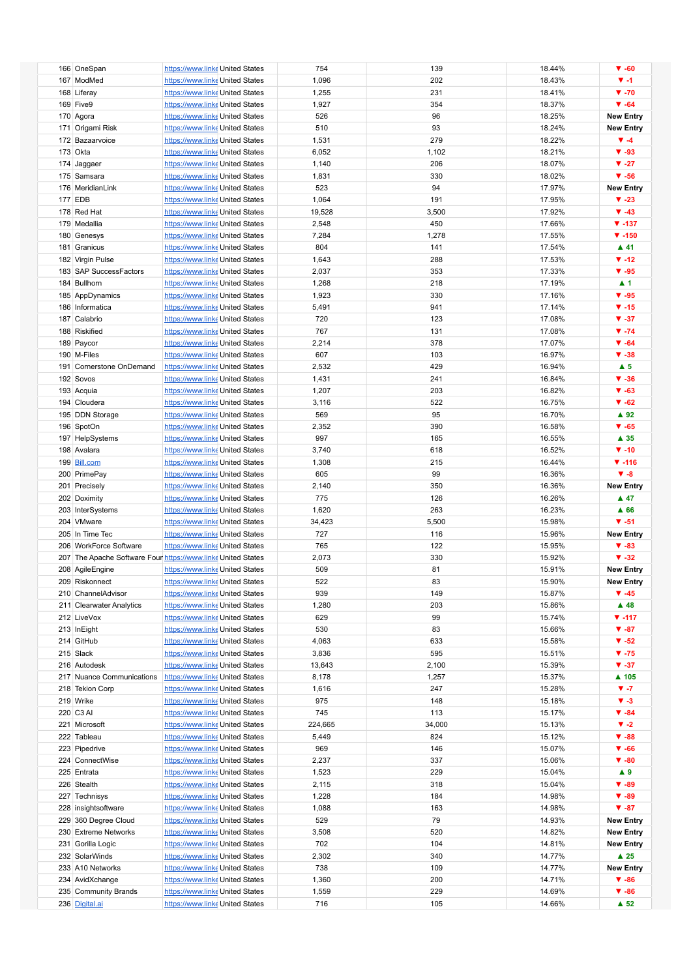| 166 OneSpan                                                  | https://www.linke United States | 754     | 139    | 18.44% | $\Psi - 60$              |
|--------------------------------------------------------------|---------------------------------|---------|--------|--------|--------------------------|
| 167 ModMed                                                   | https://www.linke United States | 1,096   | 202    | 18.43% | $\Psi - 1$               |
|                                                              |                                 |         |        |        |                          |
| 168 Liferay                                                  | https://www.linke United States | 1,255   | 231    | 18.41% | $\Psi - 70$              |
| 169 Five9                                                    | https://www.linke United States | 1,927   | 354    | 18.37% | $\Psi - 64$              |
|                                                              |                                 |         |        |        |                          |
| 170 Agora                                                    | https://www.linke United States | 526     | 96     | 18.25% | <b>New Entry</b>         |
| 171 Origami Risk                                             | https://www.linke United States | 510     | 93     | 18.24% | <b>New Entry</b>         |
|                                                              |                                 |         |        |        |                          |
| 172 Bazaarvoice                                              | https://www.linke United States | 1,531   | 279    | 18.22% | $\Psi - 4$               |
| 173 Okta                                                     | https://www.linke United States | 6,052   | 1,102  | 18.21% | $\Psi - 93$              |
|                                                              |                                 |         |        |        |                          |
| 174 Jaggaer                                                  | https://www.linke United States | 1,140   | 206    | 18.07% | $\nabla -27$             |
| 175 Samsara                                                  | https://www.linke United States | 1,831   | 330    | 18.02% | $\Psi - 56$              |
|                                                              |                                 |         |        |        |                          |
| 176 MeridianLink                                             | https://www.linke United States | 523     | 94     | 17.97% | <b>New Entry</b>         |
| <b>177 EDB</b>                                               | https://www.linke United States | 1,064   | 191    | 17.95% | $\Psi - 23$              |
|                                                              |                                 |         |        |        |                          |
| 178 Red Hat                                                  | https://www.linke United States | 19,528  | 3,500  | 17.92% | $\Psi - 43$              |
| 179 Medallia                                                 | https://www.linke United States | 2,548   | 450    | 17.66% | $\Psi - 137$             |
|                                                              |                                 |         |        |        |                          |
| 180 Genesys                                                  | https://www.linke United States | 7,284   | 1,278  | 17.55% | $\Psi - 150$             |
| 181 Granicus                                                 | https://www.linke United States | 804     | 141    | 17.54% | $\blacktriangle$ 41      |
|                                                              |                                 |         |        |        |                          |
| 182 Virgin Pulse                                             | https://www.linke United States | 1,643   | 288    | 17.53% | $\Psi - 12$              |
| 183 SAP SuccessFactors                                       | https://www.linke United States | 2,037   | 353    | 17.33% | $\Psi - 95$              |
|                                                              |                                 |         |        |        |                          |
| 184 Bullhorn                                                 | https://www.linke United States | 1,268   | 218    | 17.19% | $\blacktriangle$ 1       |
| 185 AppDynamics                                              | https://www.linke United States | 1,923   | 330    | 17.16% | $\Psi - 95$              |
|                                                              |                                 |         |        |        |                          |
| 186 Informatica                                              | https://www.linke United States | 5,491   | 941    | 17.14% | $\Psi - 15$              |
| 187 Calabrio                                                 | https://www.linke United States | 720     | 123    | 17.08% | $\Psi - 37$              |
|                                                              |                                 |         |        |        |                          |
| 188 Riskified                                                | https://www.linke United States | 767     | 131    | 17.08% | $\Psi - 74$              |
| 189 Paycor                                                   | https://www.linke United States | 2,214   | 378    | 17.07% | $\Psi - 64$              |
|                                                              |                                 |         |        |        |                          |
| 190 M-Files                                                  | https://www.linke United States | 607     | 103    | 16.97% | $\Psi - 38$              |
|                                                              |                                 |         |        |        | $\blacktriangle$ 5       |
| 191 Cornerstone OnDemand                                     | https://www.linke United States | 2,532   | 429    | 16.94% |                          |
| 192 Sovos                                                    | https://www.linke United States | 1,431   | 241    | 16.84% | $\Psi - 36$              |
|                                                              |                                 |         | 203    | 16.82% | $\Psi - 63$              |
| 193 Acquia                                                   | https://www.linke United States | 1,207   |        |        |                          |
| 194 Cloudera                                                 | https://www.linke United States | 3,116   | 522    | 16.75% | $\Psi - 62$              |
|                                                              |                                 |         | 95     |        | $\blacktriangle$ 92      |
| 195 DDN Storage                                              | https://www.linke United States | 569     |        | 16.70% |                          |
| 196 SpotOn                                                   | https://www.linke United States | 2,352   | 390    | 16.58% | $\Psi - 65$              |
|                                                              |                                 | 997     | 165    | 16.55% | ▲ 35                     |
| 197 HelpSystems                                              | https://www.linke United States |         |        |        |                          |
| 198 Avalara                                                  | https://www.linke United States | 3,740   | 618    | 16.52% | $\Psi - 10$              |
|                                                              |                                 |         |        |        | $\Psi - 116$             |
| 199 Bill.com                                                 | https://www.linke United States | 1,308   | 215    | 16.44% |                          |
| 200 PrimePay                                                 | https://www.linke United States | 605     | 99     | 16.36% | $V - 8$                  |
|                                                              |                                 |         |        |        |                          |
| 201 Precisely                                                | https://www.linke United States | 2,140   | 350    | 16.36% | <b>New Entry</b>         |
| 202 Doximity                                                 | https://www.linke United States | 775     | 126    | 16.26% | $\blacktriangle$ 47      |
|                                                              |                                 |         |        |        |                          |
| 203 InterSystems                                             | https://www.linke United States | 1,620   | 263    | 16.23% | $\blacktriangle$ 66      |
| 204 VMware                                                   | https://www.linke United States | 34,423  | 5,500  | 15.98% | $\Psi - 51$              |
|                                                              |                                 |         |        |        |                          |
| 205 In Time Tec                                              | https://www.linke United States | 727     | 116    | 15.96% | <b>New Entry</b>         |
| 206 WorkForce Software                                       | https://www.linke United States | 765     | 122    | 15.95% | $\Psi - 83$              |
|                                                              |                                 |         |        |        |                          |
| 207 The Apache Software Four https://www.linke United States |                                 | 2,073   | 330    | 15.92% | $\Psi - 32$              |
| 208 AgileEngine                                              | https://www.linke United States | 509     | 81     | 15.91% | <b>New Entry</b>         |
|                                                              |                                 |         |        |        |                          |
| 209 Riskonnect                                               | https://www.linke United States | 522     | 83     | 15.90% | <b>New Entry</b>         |
| 210 ChannelAdvisor                                           | https://www.linke United States | 939     | 149    | 15.87% | $\Psi - 45$              |
|                                                              |                                 |         |        |        |                          |
| 211 Clearwater Analytics                                     | https://www.linke United States | 1,280   | 203    | 15.86% | $\blacktriangle$ 48      |
| 212 LiveVox                                                  | https://www.linke United States | 629     | 99     | 15.74% | $\Psi - 117$             |
|                                                              |                                 |         |        |        |                          |
| 213 InEight                                                  | https://www.linke United States | 530     | 83     | 15.66% | $\Psi - 87$              |
| 214 GitHub                                                   | https://www.linke United States | 4,063   | 633    | 15.58% | $\blacktriangledown$ -52 |
|                                                              |                                 |         |        |        |                          |
| 215 Slack                                                    | https://www.linke United States | 3,836   | 595    | 15.51% | $\Psi - 75$              |
| 216 Autodesk                                                 | https://www.linke United States | 13,643  | 2,100  | 15.39% | $\Psi - 37$              |
|                                                              |                                 |         |        |        |                          |
| 217 Nuance Communications                                    | https://www.linke United States | 8,178   | 1,257  | 15.37% | ▲ 105                    |
| 218 Tekion Corp                                              | https://www.linke United States | 1,616   | 247    | 15.28% | $V - 7$                  |
|                                                              | https://www.linke United States |         |        |        | $V - 3$                  |
| 219 Wrike                                                    |                                 | 975     | 148    | 15.18% |                          |
| 220 C3 AI                                                    | https://www.linke United States | 745     | 113    | 15.17% | $\Psi - 84$              |
| 221 Microsoft                                                | https://www.linke United States | 224,665 | 34,000 | 15.13% | $V - 2$                  |
|                                                              |                                 |         |        |        |                          |
| 222 Tableau                                                  | https://www.linke United States | 5,449   | 824    | 15.12% | $\Psi - 88$              |
| 223 Pipedrive                                                | https://www.linke United States | 969     | 146    | 15.07% | $\Psi - 66$              |
|                                                              |                                 |         |        |        |                          |
| 224 ConnectWise                                              | https://www.linke United States | 2,237   | 337    | 15.06% | $\Psi - 80$              |
| 225 Entrata                                                  | https://www.linke United States | 1,523   | 229    | 15.04% | $\blacktriangle$ 9       |
|                                                              |                                 |         |        |        |                          |
| 226 Stealth                                                  | https://www.linke United States | 2,115   | 318    | 15.04% | $\Psi - 89$              |
| 227 Technisys                                                | https://www.linke United States | 1,228   | 184    | 14.98% | $\Psi - 89$              |
|                                                              |                                 |         |        |        |                          |
| 228 insightsoftware                                          | https://www.linke United States | 1,088   | 163    | 14.98% | $\Psi - 87$              |
| 229 360 Degree Cloud                                         | https://www.linke United States | 529     | 79     | 14.93% | <b>New Entry</b>         |
|                                                              |                                 |         |        |        |                          |
| 230 Extreme Networks                                         | https://www.linke United States | 3,508   | 520    | 14.82% | <b>New Entry</b>         |
| 231 Gorilla Logic                                            | https://www.linke United States | 702     | 104    | 14.81% | <b>New Entry</b>         |
|                                                              |                                 |         |        |        |                          |
| 232 SolarWinds                                               | https://www.linke United States | 2,302   | 340    | 14.77% | $\blacktriangle$ 25      |
| 233 A10 Networks                                             | https://www.linke United States | 738     | 109    | 14.77% | <b>New Entry</b>         |
|                                                              |                                 |         |        |        |                          |
| 234 AvidXchange                                              | https://www.linke United States | 1,360   | 200    | 14.71% | $\Psi - 86$              |
| 235 Community Brands                                         | https://www.linke United States | 1,559   | 229    | 14.69% | $\Psi - 86$              |
|                                                              |                                 |         |        |        |                          |
| 236 Digital.ai                                               | https://www.linke United States | 716     | 105    | 14.66% | $\triangle$ 52           |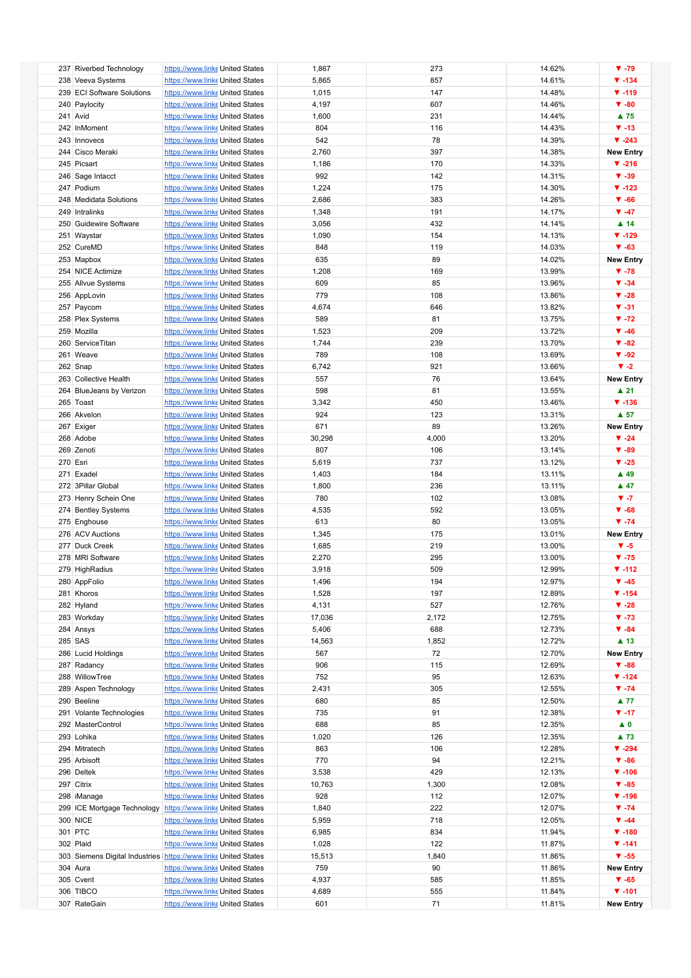|          | 237 Riverbed Technology    | https://www.linke United States                                | 1,867  | 273   | 14.62% | $\Psi - 79$         |
|----------|----------------------------|----------------------------------------------------------------|--------|-------|--------|---------------------|
|          | 238 Veeva Systems          | https://www.linke United States                                | 5,865  | 857   | 14.61% | $\Psi - 134$        |
|          | 239 ECI Software Solutions | https://www.linke United States                                | 1,015  | 147   | 14.48% | $V - 119$           |
|          |                            |                                                                |        |       |        |                     |
|          | 240 Paylocity              | https://www.linke United States                                | 4,197  | 607   | 14.46% | $\Psi - 80$         |
|          | 241 Avid                   | https://www.linke United States                                | 1,600  | 231   | 14.44% | ▲ 75                |
|          | 242 InMoment               | https://www.linke United States                                | 804    | 116   | 14.43% | $\Psi - 13$         |
|          | 243 Innovecs               | https://www.linke United States                                | 542    | 78    | 14.39% | $\Psi - 243$        |
|          | 244 Cisco Meraki           | https://www.linke United States                                | 2,760  | 397   | 14.38% | <b>New Entry</b>    |
|          | 245 Picsart                | https://www.linke United States                                | 1,186  | 170   | 14.33% | $\Psi - 216$        |
|          |                            |                                                                | 992    | 142   | 14.31% | $\Psi - 39$         |
|          | 246 Sage Intacct           | https://www.linke United States                                |        |       |        |                     |
|          | 247 Podium                 | https://www.linke United States                                | 1,224  | 175   | 14.30% | $\P$ -123           |
|          | 248 Medidata Solutions     | https://www.linke United States                                | 2,686  | 383   | 14.26% | $\Psi - 66$         |
|          | 249 Intralinks             | https://www.linke United States                                | 1,348  | 191   | 14.17% | $\Psi - 47$         |
|          | 250 Guidewire Software     | https://www.linke United States                                | 3,056  | 432   | 14.14% | $\blacktriangle$ 14 |
|          | 251 Waystar                | https://www.linke United States                                | 1,090  | 154   | 14.13% | $\P$ -129           |
|          |                            |                                                                |        |       |        |                     |
|          | 252 CureMD                 | https://www.linke United States                                | 848    | 119   | 14.03% | $\Psi - 63$         |
|          | 253 Mapbox                 | https://www.linke United States                                | 635    | 89    | 14.02% | <b>New Entry</b>    |
|          | 254 NICE Actimize          | https://www.linke United States                                | 1,208  | 169   | 13.99% | $\Psi - 78$         |
|          | 255 Allvue Systems         | https://www.linke United States                                | 609    | 85    | 13.96% | $\Psi - 34$         |
|          | 256 AppLovin               | https://www.linke United States                                | 779    | 108   | 13.86% | $\Psi - 28$         |
|          |                            |                                                                |        |       |        |                     |
|          | 257 Paycom                 | https://www.linke United States                                | 4,674  | 646   | 13.82% | $\Psi - 31$         |
|          | 258 Plex Systems           | https://www.linke United States                                | 589    | 81    | 13.75% | $\P$ -72            |
|          | 259 Mozilla                | https://www.linke United States                                | 1,523  | 209   | 13.72% | $\Psi - 46$         |
|          | 260 ServiceTitan           | https://www.linke United States                                | 1,744  | 239   | 13.70% | $\Psi - 82$         |
|          | 261 Weave                  | https://www.linke United States                                | 789    | 108   | 13.69% | $\Psi - 92$         |
|          |                            |                                                                |        | 921   |        | $\Psi -2$           |
|          | 262 Snap                   | https://www.linke United States                                | 6,742  |       | 13.66% |                     |
|          | 263 Collective Health      | https://www.linke United States                                | 557    | 76    | 13.64% | <b>New Entry</b>    |
|          | 264 BlueJeans by Verizon   | https://www.linke United States                                | 598    | 81    | 13.55% | $\blacktriangle$ 21 |
|          | 265 Toast                  | https://www.linke United States                                | 3,342  | 450   | 13.46% | $\Psi - 136$        |
|          | 266 Akvelon                | https://www.linke United States                                | 924    | 123   | 13.31% | $\blacktriangle$ 57 |
|          | 267 Exiger                 | https://www.linke United States                                | 671    | 89    | 13.26% | <b>New Entry</b>    |
|          |                            |                                                                |        |       |        |                     |
|          | 268 Adobe                  | https://www.linke United States                                | 30,298 | 4,000 | 13.20% | $\Psi -24$          |
|          | 269 Zenoti                 | https://www.linke United States                                | 807    | 106   | 13.14% | $\Psi - 89$         |
| 270 Esri |                            | https://www.linke United States                                | 5,619  | 737   | 13.12% | $\Psi -25$          |
|          | 271 Exadel                 | https://www.linke United States                                | 1,403  | 184   | 13.11% | $\blacktriangle$ 49 |
|          | 272 3Pillar Global         | https://www.linke United States                                | 1,800  | 236   | 13.11% | $\blacktriangle$ 47 |
|          |                            | https://www.linke United States                                | 780    | 102   | 13.08% | $V - 7$             |
|          | 273 Henry Schein One       |                                                                |        |       |        |                     |
|          | 274 Bentley Systems        | https://www.linke United States                                | 4,535  | 592   | 13.05% | $\Psi - 68$         |
|          | 275 Enghouse               | https://www.linke United States                                | 613    | 80    | 13.05% | $\Psi - 74$         |
|          | 276 ACV Auctions           | https://www.linke United States                                | 1,345  | 175   | 13.01% | <b>New Entry</b>    |
|          | 277 Duck Creek             | https://www.linke United States                                | 1,685  | 219   | 13.00% | $V - 5$             |
|          | 278 MRI Software           | https://www.linke United States                                | 2,270  | 295   | 13.00% | $\Psi - 75$         |
|          |                            |                                                                |        |       |        |                     |
|          | 279 HighRadius             | https://www.linke United States                                | 3,918  | 509   | 12.99% | $\P$ -112           |
|          | 280 AppFolio               | https://www.linke United States                                | 1,496  | 194   | 12.97% | $\Psi - 45$         |
|          | 281 Khoros                 | https://www.linke United States                                | 1,528  | 197   | 12.89% | $\Psi - 154$        |
|          | 282 Hyland                 | https://www.linke United States                                | 4,131  | 527   | 12.76% | $\Psi - 28$         |
|          | 283 Workday                | https://www.linke United States                                | 17,036 | 2,172 | 12.75% | $\Psi - 73$         |
|          |                            |                                                                | 5,406  | 688   | 12.73% | $\Psi - 84$         |
|          | 284 Ansys                  | https://www.linke United States                                |        |       |        |                     |
|          | 285 SAS                    | https://www.linke United States                                | 14,563 | 1,852 | 12.72% | $\blacktriangle$ 13 |
|          | 286 Lucid Holdings         | https://www.linke United States                                | 567    | 72    | 12.70% | <b>New Entry</b>    |
|          | 287 Radancy                | https://www.linke United States                                | 906    | 115   | 12.69% | $\Psi - 88$         |
|          | 288 WillowTree             | https://www.linke United States                                | 752    | 95    | 12.63% | $\P$ -124           |
|          | 289 Aspen Technology       | https://www.linke United States                                | 2,431  | 305   | 12.55% | $\Psi - 74$         |
|          |                            |                                                                |        |       |        |                     |
|          | 290 Beeline                | https://www.linke United States                                | 680    | 85    | 12.50% | $\blacktriangle$ 77 |
|          | 291 Volante Technologies   | https://www.linke United States                                | 735    | 91    | 12.38% | $\Psi - 17$         |
|          | 292 MasterControl          | https://www.linke United States                                | 688    | 85    | 12.35% | $\blacktriangle$ 0  |
|          | 293 Lohika                 | https://www.linke United States                                | 1,020  | 126   | 12.35% | $\blacktriangle$ 73 |
|          | 294 Mitratech              | https://www.linke United States                                | 863    | 106   | 12.28% | $\Psi - 294$        |
|          | 295 Arbisoft               | https://www.linke United States                                | 770    | 94    | 12.21% | $\Psi - 86$         |
|          |                            |                                                                |        |       |        |                     |
|          | 296 Deltek                 | https://www.linke United States                                | 3,538  | 429   | 12.13% | $\Psi - 106$        |
|          | 297 Citrix                 | https://www.linke United States                                | 10,763 | 1,300 | 12.08% | $\Psi - 85$         |
|          | 298 iManage                | https://www.linke United States                                | 928    | 112   | 12.07% | $\Psi - 196$        |
|          |                            | 299 ICE Mortgage Technology https://www.linke United States    | 1,840  | 222   | 12.07% | $\P$ -74            |
|          | 300 NICE                   | https://www.linke United States                                | 5,959  | 718   | 12.05% | $\Psi - 44$         |
|          |                            |                                                                |        |       |        |                     |
|          | 301 PTC                    | https://www.linke United States                                | 6,985  | 834   | 11.94% | $\Psi - 180$        |
|          | 302 Plaid                  | https://www.linke United States                                | 1,028  | 122   | 11.87% | $\Psi - 141$        |
|          |                            | 303 Siemens Digital Industries https://www.linke United States | 15,513 | 1,840 | 11.86% | $V - 55$            |
|          | 304 Aura                   | https://www.linke United States                                | 759    | 90    | 11.86% | <b>New Entry</b>    |
|          | 305 Cvent                  | https://www.linke United States                                | 4,937  | 585   | 11.85% | $\Psi - 65$         |
|          | 306 TIBCO                  | https://www.linke United States                                | 4,689  | 555   | 11.84% | $\Psi - 101$        |
|          |                            |                                                                |        |       |        |                     |
|          | 307 RateGain               | https://www.linke United States                                | 601    | 71    | 11.81% | <b>New Entry</b>    |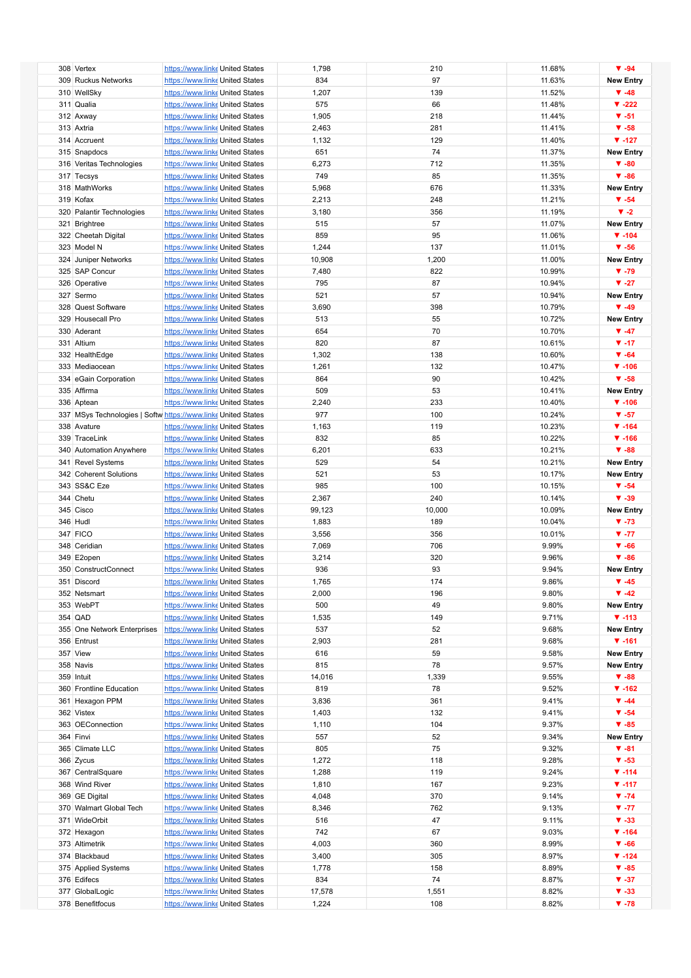| 308 Vertex                                                    | https://www.linke United States | 1,798  | 210    | 11.68% | $\Psi - 94$               |
|---------------------------------------------------------------|---------------------------------|--------|--------|--------|---------------------------|
| 309 Ruckus Networks                                           | https://www.linke United States | 834    | 97     | 11.63% | <b>New Entry</b>          |
|                                                               |                                 |        |        |        |                           |
| 310 WellSky                                                   | https://www.linke United States | 1,207  | 139    | 11.52% | $\Psi -48$                |
| 311 Qualia                                                    | https://www.linke United States | 575    | 66     | 11.48% | $\blacktriangledown$ -222 |
|                                                               |                                 |        | 218    |        | $V - 51$                  |
| 312 Axway                                                     | https://www.linke United States | 1,905  |        | 11.44% |                           |
| 313 Axtria                                                    | https://www.linke United States | 2,463  | 281    | 11.41% | $\Psi - 58$               |
| 314 Accruent                                                  | https://www.linke United States | 1,132  | 129    | 11.40% | $\Psi - 127$              |
|                                                               |                                 |        |        |        |                           |
| 315 Snapdocs                                                  | https://www.linke United States | 651    | 74     | 11.37% | <b>New Entry</b>          |
| 316 Veritas Technologies                                      | https://www.linke United States | 6,273  | 712    | 11.35% | $\Psi - 80$               |
| 317 Tecsys                                                    | https://www.linke United States | 749    | 85     | 11.35% | $\Psi - 86$               |
|                                                               |                                 |        |        |        |                           |
| 318 MathWorks                                                 | https://www.linke United States | 5,968  | 676    | 11.33% | <b>New Entry</b>          |
| 319 Kofax                                                     | https://www.linke United States | 2,213  | 248    | 11.21% | $\Psi - 54$               |
|                                                               |                                 |        |        |        |                           |
| 320 Palantir Technologies                                     | https://www.linke United States | 3,180  | 356    | 11.19% | $\Psi -2$                 |
| 321 Brightree                                                 | https://www.linke United States | 515    | 57     | 11.07% | <b>New Entry</b>          |
| 322 Cheetah Digital                                           | https://www.linke United States | 859    | 95     | 11.06% | $\P$ -104                 |
|                                                               |                                 |        |        |        |                           |
| 323 Model N                                                   | https://www.linke United States | 1,244  | 137    | 11.01% | $\Psi - 56$               |
| 324 Juniper Networks                                          | https://www.linke United States | 10,908 | 1,200  | 11.00% | <b>New Entry</b>          |
|                                                               |                                 |        |        |        |                           |
| 325 SAP Concur                                                | https://www.linke United States | 7,480  | 822    | 10.99% | $\Psi - 79$               |
| 326 Operative                                                 | https://www.linke United States | 795    | 87     | 10.94% | $V - 27$                  |
| 327 Sermo                                                     | https://www.linke United States | 521    | 57     | 10.94% | <b>New Entry</b>          |
|                                                               |                                 |        |        |        |                           |
| 328 Quest Software                                            | https://www.linke United States | 3,690  | 398    | 10.79% | $\Psi - 49$               |
| 329 Housecall Pro                                             | https://www.linke United States | 513    | 55     | 10.72% | <b>New Entry</b>          |
| 330 Aderant                                                   | https://www.linke United States | 654    | 70     | 10.70% | $\Psi - 47$               |
|                                                               |                                 |        |        |        |                           |
| 331 Altium                                                    | https://www.linke United States | 820    | 87     | 10.61% | $\Psi - 17$               |
| 332 HealthEdge                                                | https://www.linke United States | 1,302  | 138    | 10.60% | $\Psi - 64$               |
|                                                               |                                 |        |        |        |                           |
| 333 Mediaocean                                                | https://www.linke United States | 1,261  | 132    | 10.47% | $\Psi - 106$              |
| 334 eGain Corporation                                         | https://www.linke United States | 864    | 90     | 10.42% | $\Psi - 58$               |
| 335 Affirma                                                   | https://www.linke United States | 509    | 53     | 10.41% | <b>New Entry</b>          |
|                                                               |                                 |        |        |        |                           |
| 336 Aptean                                                    | https://www.linke United States | 2,240  | 233    | 10.40% | $\Psi - 106$              |
| 337 MSys Technologies   Softw https://www.linke United States |                                 | 977    | 100    | 10.24% | $V - 57$                  |
| 338 Avature                                                   | https://www.linke United States | 1,163  | 119    | 10.23% | $\Psi - 164$              |
|                                                               |                                 |        |        |        |                           |
| 339 TraceLink                                                 | https://www.linke United States | 832    | 85     | 10.22% | $\P$ -166                 |
| 340 Automation Anywhere                                       | https://www.linke United States | 6,201  | 633    | 10.21% | $\Psi - 88$               |
|                                                               |                                 |        |        |        |                           |
| 341 Revel Systems                                             | https://www.linke United States | 529    | 54     | 10.21% | <b>New Entry</b>          |
| 342 Coherent Solutions                                        | https://www.linke United States | 521    | 53     | 10.17% | <b>New Entry</b>          |
| 343 SS&C Eze                                                  | https://www.linke United States | 985    | 100    | 10.15% | $\Psi - 54$               |
|                                                               |                                 |        |        |        |                           |
| 344 Chetu                                                     | https://www.linke United States | 2,367  | 240    | 10.14% | $\Psi - 39$               |
| 345 Cisco                                                     | https://www.linke United States | 99,123 | 10,000 | 10.09% | <b>New Entry</b>          |
|                                                               |                                 |        |        |        |                           |
| 346 Hudl                                                      | https://www.linke United States | 1,883  | 189    | 10.04% | $\Psi - 73$               |
| 347 FICO                                                      | https://www.linke United States | 3,556  | 356    | 10.01% | $V - 77$                  |
| 348 Ceridian                                                  | https://www.linke United States | 7,069  | 706    | 9.99%  | $\Psi - 66$               |
|                                                               |                                 |        |        |        |                           |
| 349 E2open                                                    | https://www.linke United States | 3,214  | 320    | 9.96%  | $\Psi - 86$               |
| 350 ConstructConnect                                          | https://www.linke United States | 936    | 93     | 9.94%  | <b>New Entry</b>          |
| 351 Discord                                                   | https://www.linke United States | 1,765  | 174    | 9.86%  | $\Psi -45$                |
|                                                               |                                 |        |        |        |                           |
| 352 Netsmart                                                  | https://www.linke United States | 2,000  | 196    | 9.80%  | $\Psi -42$                |
| 353 WebPT                                                     | https://www.linke United States | 500    | 49     | 9.80%  | <b>New Entry</b>          |
| 354 QAD                                                       | https://www.linke United States | 1,535  | 149    | 9.71%  | $\Psi - 113$              |
|                                                               |                                 |        |        |        |                           |
| 355 One Network Enterprises                                   | https://www.linke United States | 537    | 52     | 9.68%  | <b>New Entry</b>          |
| 356 Entrust                                                   | https://www.linke United States | 2,903  | 281    | 9.68%  | $\Psi - 161$              |
|                                                               |                                 |        |        |        | <b>New Entry</b>          |
| 357 View                                                      | https://www.linke United States | 616    | 59     | 9.58%  |                           |
| 358 Navis                                                     | https://www.linke United States | 815    | 78     | 9.57%  | <b>New Entry</b>          |
| 359 Intuit                                                    | https://www.linke United States | 14,016 | 1,339  | 9.55%  | $\Psi - 88$               |
|                                                               |                                 |        |        |        |                           |
| 360 Frontline Education                                       | https://www.linke United States | 819    | 78     | 9.52%  | $\P$ -162                 |
| 361 Hexagon PPM                                               | https://www.linke United States | 3,836  | 361    | 9.41%  | $\Psi - 44$               |
| 362 Vistex                                                    | https://www.linke United States | 1,403  | 132    | 9.41%  | $\Psi - 54$               |
|                                                               |                                 |        |        |        |                           |
| 363 OEConnection                                              | https://www.linke United States | 1,110  | 104    | 9.37%  | $\Psi - 85$               |
| 364 Finvi                                                     | https://www.linke United States | 557    | 52     | 9.34%  | <b>New Entry</b>          |
| 365 Climate LLC                                               | https://www.linke United States | 805    | 75     | 9.32%  | $\Psi - 81$               |
|                                                               |                                 |        |        |        |                           |
| 366 Zycus                                                     | https://www.linke United States | 1,272  | 118    | 9.28%  | $\Psi - 53$               |
| 367 CentralSquare                                             | https://www.linke United States | 1,288  | 119    | 9.24%  | $\Psi - 114$              |
|                                                               |                                 |        |        |        |                           |
| 368 Wind River                                                | https://www.linke United States | 1,810  | 167    | 9.23%  | $\Psi - 117$              |
| 369 GE Digital                                                | https://www.linke United States | 4,048  | 370    | 9.14%  | $\Psi - 74$               |
| 370 Walmart Global Tech                                       | https://www.linke United States | 8,346  | 762    | 9.13%  | $\Psi - 77$               |
|                                                               |                                 |        |        |        |                           |
| 371 WideOrbit                                                 | https://www.linke United States | 516    | 47     | 9.11%  | $\Psi - 33$               |
| 372 Hexagon                                                   | https://www.linke United States | 742    | 67     | 9.03%  | $\P$ -164                 |
| 373 Altimetrik                                                | https://www.linke United States | 4,003  | 360    | 8.99%  | $\Psi - 66$               |
|                                                               |                                 |        |        |        |                           |
| 374 Blackbaud                                                 | https://www.linke United States | 3,400  | 305    | 8.97%  | $\P$ -124                 |
|                                                               |                                 |        |        |        |                           |
|                                                               | https://www.linke United States | 1,778  | 158    | 8.89%  | $\Psi - 85$               |
| 375 Applied Systems                                           |                                 |        |        |        |                           |
| 376 Edifecs                                                   | https://www.linke United States | 834    | 74     | 8.87%  | $\Psi - 37$               |
| 377 GlobalLogic                                               | https://www.linke United States | 17,578 | 1,551  | 8.82%  | $\Psi - 33$               |
| 378 Benefitfocus                                              | https://www.linke United States | 1,224  | 108    | 8.82%  | $\Psi - 78$               |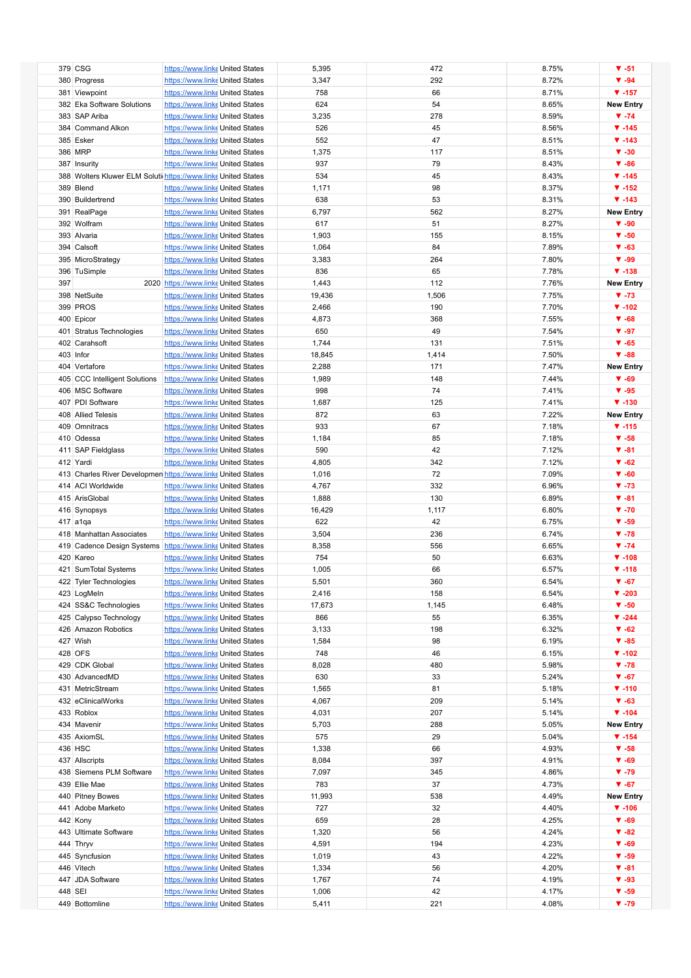|         | 379 CSG                                                       | https://www.linke United States      | 5,395  | 472   | 8.75% | $\Psi - 51$      |
|---------|---------------------------------------------------------------|--------------------------------------|--------|-------|-------|------------------|
|         | 380 Progress                                                  | https://www.linke United States      | 3,347  | 292   | 8.72% | $\Psi - 94$      |
|         | 381 Viewpoint                                                 | https://www.linke United States      | 758    | 66    | 8.71% | $\Psi - 157$     |
|         | 382 Eka Software Solutions                                    | https://www.linke United States      | 624    | 54    | 8.65% | <b>New Entry</b> |
|         |                                                               |                                      |        |       |       |                  |
|         | 383 SAP Ariba                                                 | https://www.linke United States      | 3,235  | 278   | 8.59% | $\Psi - 74$      |
|         | 384 Command Alkon                                             | https://www.linke United States      | 526    | 45    | 8.56% | $\Psi - 145$     |
|         | 385 Esker                                                     | https://www.linke United States      | 552    | 47    | 8.51% | $\Psi - 143$     |
|         | 386 MRP                                                       | https://www.linke United States      | 1,375  | 117   | 8.51% | $\Psi - 30$      |
|         | 387 Insurity                                                  | https://www.linke United States      | 937    | 79    | 8.43% | $\Psi - 86$      |
|         | 388 Wolters Kluwer ELM Soluti https://www.linke United States |                                      | 534    | 45    | 8.43% | $\P$ -145        |
|         |                                                               |                                      |        |       |       |                  |
|         | 389 Blend                                                     | https://www.linke United States      | 1,171  | 98    | 8.37% | $\P$ -152        |
|         | 390 Buildertrend                                              | https://www.linke United States      | 638    | 53    | 8.31% | $\Psi - 143$     |
|         | 391 RealPage                                                  | https://www.linke United States      | 6,797  | 562   | 8.27% | <b>New Entry</b> |
|         | 392 Wolfram                                                   | https://www.linke United States      | 617    | 51    | 8.27% | $\Psi - 90$      |
|         | 393 Alvaria                                                   | https://www.linke United States      | 1,903  | 155   | 8.15% | $\Psi - 50$      |
|         | 394 Calsoft                                                   | https://www.linke United States      | 1,064  | 84    | 7.89% | $\Psi - 63$      |
|         | 395 MicroStrategy                                             | https://www.linke United States      | 3,383  | 264   | 7.80% | $\Psi - 99$      |
|         |                                                               |                                      |        |       |       |                  |
|         | 396 TuSimple                                                  | https://www.linke United States      | 836    | 65    | 7.78% | $\Psi - 138$     |
| 397     |                                                               | 2020 https://www.linke United States | 1,443  | 112   | 7.76% | <b>New Entry</b> |
|         | 398 NetSuite                                                  | https://www.linke United States      | 19,436 | 1,506 | 7.75% | $\Psi - 73$      |
|         | 399 PROS                                                      | https://www.linke United States      | 2,466  | 190   | 7.70% | $\Psi - 102$     |
|         | 400 Epicor                                                    | https://www.linke United States      | 4,873  | 368   | 7.55% | $\Psi - 68$      |
|         | 401 Stratus Technologies                                      | https://www.linke United States      | 650    | 49    | 7.54% | $\Psi - 97$      |
|         |                                                               |                                      |        |       |       | $\Psi - 65$      |
|         | 402 Carahsoft                                                 | https://www.linke United States      | 1,744  | 131   | 7.51% |                  |
|         | 403 Infor                                                     | https://www.linke United States      | 18,845 | 1,414 | 7.50% | $\Psi - 88$      |
|         | 404 Vertafore                                                 | https://www.linke United States      | 2,288  | 171   | 7.47% | <b>New Entry</b> |
|         | 405 CCC Intelligent Solutions                                 | https://www.linke United States      | 1,989  | 148   | 7.44% | $\Psi - 69$      |
|         | 406 MSC Software                                              | https://www.linke United States      | 998    | 74    | 7.41% | $\Psi - 95$      |
|         | 407 PDI Software                                              | https://www.linke United States      | 1,687  | 125   | 7.41% | $\Psi - 130$     |
|         | 408 Allied Telesis                                            | https://www.linke United States      | 872    | 63    | 7.22% | <b>New Entry</b> |
|         |                                                               |                                      |        |       |       |                  |
|         | 409 Omnitracs                                                 | https://www.linke United States      | 933    | 67    | 7.18% | $\Psi - 115$     |
|         | 410 Odessa                                                    | https://www.linke United States      | 1,184  | 85    | 7.18% | $\Psi - 58$      |
|         | 411 SAP Fieldglass                                            | https://www.linke United States      | 590    | 42    | 7.12% | $\Psi - 81$      |
|         | 412 Yardi                                                     | https://www.linke United States      | 4,805  | 342   | 7.12% | $\Psi - 62$      |
|         | 413 Charles River Developmen https://www.linke United States  |                                      | 1,016  | 72    | 7.09% | $\Psi - 60$      |
|         | 414 ACI Worldwide                                             | https://www.linke United States      | 4,767  | 332   | 6.96% | $\Psi - 73$      |
|         |                                                               |                                      |        |       |       | $\Psi - 81$      |
|         | 415 ArisGlobal                                                | https://www.linke United States      | 1,888  | 130   | 6.89% |                  |
|         | 416 Synopsys                                                  | https://www.linke United States      | 16,429 | 1,117 | 6.80% | $\Psi - 70$      |
|         | 417 a1qa                                                      | https://www.linke United States      | 622    | 42    | 6.75% | $\Psi - 59$      |
|         | 418 Manhattan Associates                                      | https://www.linke United States      | 3,504  | 236   | 6.74% | $\Psi - 78$      |
|         | 419 Cadence Design Systems                                    | https://www.linke United States      | 8,358  | 556   | 6.65% | $\Psi - 74$      |
|         | 420 Kareo                                                     | https://www.linke United States      | 754    | 50    | 6.63% | $\Psi - 108$     |
|         | 421 SumTotal Systems                                          |                                      | 1,005  | 66    | 6.57% | $\Psi - 118$     |
|         |                                                               | https://www.linke United States      |        |       |       |                  |
|         | 422 Tyler Technologies                                        | https://www.linke United States      | 5,501  | 360   | 6.54% | $\Psi - 67$      |
|         | 423 LogMeln                                                   | https://www.linke United States      | 2,416  | 158   | 6.54% | $\Psi - 203$     |
|         | 424 SS&C Technologies                                         | https://www.linke United States      | 17,673 | 1,145 | 6.48% | $\Psi - 50$      |
|         | 425 Calypso Technology                                        | https://www.linke United States      | 866    | 55    | 6.35% | $\P$ -244        |
|         | 426 Amazon Robotics                                           | https://www.linke United States      | 3,133  | 198   | 6.32% | $\Psi - 62$      |
|         | 427 Wish                                                      | https://www.linke United States      | 1,584  | 98    | 6.19% | $\Psi - 85$      |
|         | 428 OFS                                                       | https://www.linke United States      | 748    | 46    | 6.15% | $\P$ -102        |
|         |                                                               |                                      |        |       |       |                  |
|         | 429 CDK Global                                                | https://www.linke United States      | 8,028  | 480   | 5.98% | $\Psi - 78$      |
|         | 430 AdvancedMD                                                | https://www.linke United States      | 630    | 33    | 5.24% | $\Psi - 67$      |
|         | 431 MetricStream                                              | https://www.linke United States      | 1,565  | 81    | 5.18% | $\Psi - 110$     |
|         | 432 eClinicalWorks                                            | https://www.linke United States      | 4,067  | 209   | 5.14% | $\Psi - 63$      |
|         | 433 Roblox                                                    | https://www.linke United States      | 4,031  | 207   | 5.14% | $\Psi - 104$     |
|         | 434 Mavenir                                                   | https://www.linke United States      | 5,703  | 288   | 5.05% | <b>New Entry</b> |
|         |                                                               |                                      |        |       |       | $\P$ -154        |
|         | 435 AxiomSL                                                   | https://www.linke United States      | 575    | 29    | 5.04% |                  |
|         | 436 HSC                                                       | https://www.linke United States      | 1,338  | 66    | 4.93% | $\Psi - 58$      |
|         | 437 Allscripts                                                | https://www.linke United States      | 8,084  | 397   | 4.91% | $\Psi - 69$      |
|         | 438 Siemens PLM Software                                      | https://www.linke United States      | 7,097  | 345   | 4.86% | $\Psi - 79$      |
|         | 439 Ellie Mae                                                 | https://www.linke United States      | 783    | 37    | 4.73% | $\Psi - 67$      |
|         | 440 Pitney Bowes                                              | https://www.linke United States      | 11,993 | 538   | 4.49% | <b>New Entry</b> |
|         | 441 Adobe Marketo                                             | https://www.linke United States      | 727    | 32    | 4.40% | $\Psi - 106$     |
|         |                                                               |                                      |        |       |       |                  |
|         | 442 Kony                                                      | https://www.linke United States      | 659    | 28    | 4.25% | $\Psi - 69$      |
|         | 443 Ultimate Software                                         | https://www.linke United States      | 1,320  | 56    | 4.24% | $\Psi - 82$      |
|         | 444 Thryv                                                     | https://www.linke United States      | 4,591  | 194   | 4.23% | $\Psi - 69$      |
|         | 445 Syncfusion                                                | https://www.linke United States      | 1,019  | 43    | 4.22% | $\Psi - 59$      |
|         | 446 Vitech                                                    | https://www.linke United States      | 1,334  | 56    | 4.20% | $\Psi - 81$      |
|         | 447 JDA Software                                              | https://www.linke United States      | 1,767  | 74    | 4.19% | $\Psi - 93$      |
| 448 SEI |                                                               | https://www.linke United States      | 1,006  | 42    | 4.17% | $\Psi - 59$      |
|         |                                                               |                                      |        |       |       |                  |
|         | 449 Bottomline                                                | https://www.linke United States      | 5,411  | 221   | 4.08% | $\Psi - 79$      |